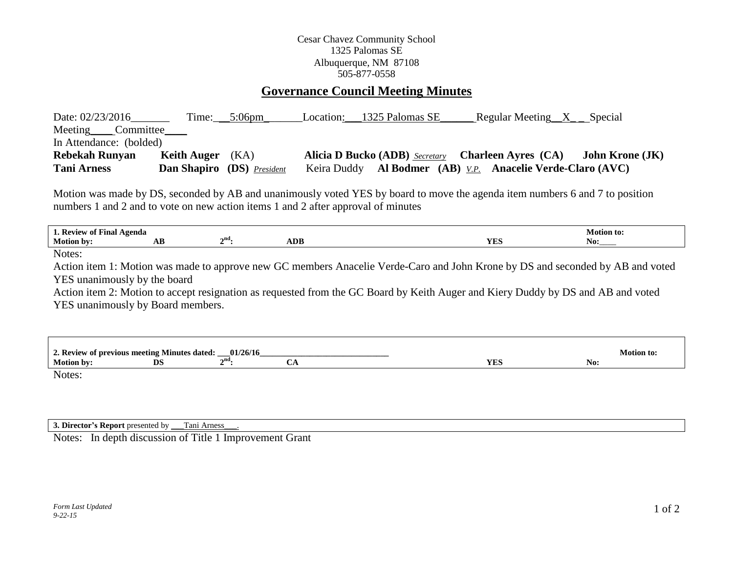## Cesar Chavez Community School 1325 Palomas SE Albuquerque, NM 87108 505-877-0558

## **Governance Council Meeting Minutes**

| Date: 02/23/2016                                                                  |                                   | Time: $5:06 \text{pm}$ | Location: 1325 Palomas SE | Regular Meeting $X$ Special                                                                                                  |                        |
|-----------------------------------------------------------------------------------|-----------------------------------|------------------------|---------------------------|------------------------------------------------------------------------------------------------------------------------------|------------------------|
| Meeting Committee                                                                 |                                   |                        |                           |                                                                                                                              |                        |
| In Attendance: (bolded)                                                           |                                   |                        |                           |                                                                                                                              |                        |
| <b>Rebekah Runyan</b>                                                             | <b>Keith Auger</b>                | (KA)                   |                           | Alicia D Bucko (ADB) Secretary Charleen Ayres (CA)                                                                           | <b>John Krone (JK)</b> |
| <b>Tani Arness</b>                                                                | <b>Dan Shapiro</b> (DS) President |                        |                           | Keira Duddy Al Bodmer (AB) <u>V.P.</u> Anacelie Verde-Claro (AVC)                                                            |                        |
| numbers 1 and 2 and to vote on new action items 1 and 2 after approval of minutes |                                   |                        |                           | Motion was made by DS, seconded by AB and unanimously voted YES by board to move the agenda item numbers 6 and 7 to position |                        |
| 1. Review of Final Agenda                                                         |                                   |                        |                           |                                                                                                                              | <b>Motion to:</b>      |
| <b>Motion by:</b>                                                                 | AВ                                | $2nd$ :<br><b>ADB</b>  |                           | YES                                                                                                                          | No:                    |

Notes:

Action item 1: Motion was made to approve new GC members Anacelie Verde-Caro and John Krone by DS and seconded by AB and voted YES unanimously by the board

Action item 2: Motion to accept resignation as requested from the GC Board by Keith Auger and Kiery Duddy by DS and AB and voted YES unanimously by Board members.

| 01/26/16<br>2. Review of previous meeting Minutes dated:<br><b>Motion to:</b><br>- |           |             |   |     |     |  |  |
|------------------------------------------------------------------------------------|-----------|-------------|---|-----|-----|--|--|
| Motion by:                                                                         | <b>DS</b> | $\gamma$ nd | ັ | YES | No: |  |  |
| Notes:                                                                             |           |             |   |     |     |  |  |

**3. Director's Report** presented by \_\_\_Tani Arness\_\_\_.

Notes: In depth discussion of Title 1 Improvement Grant